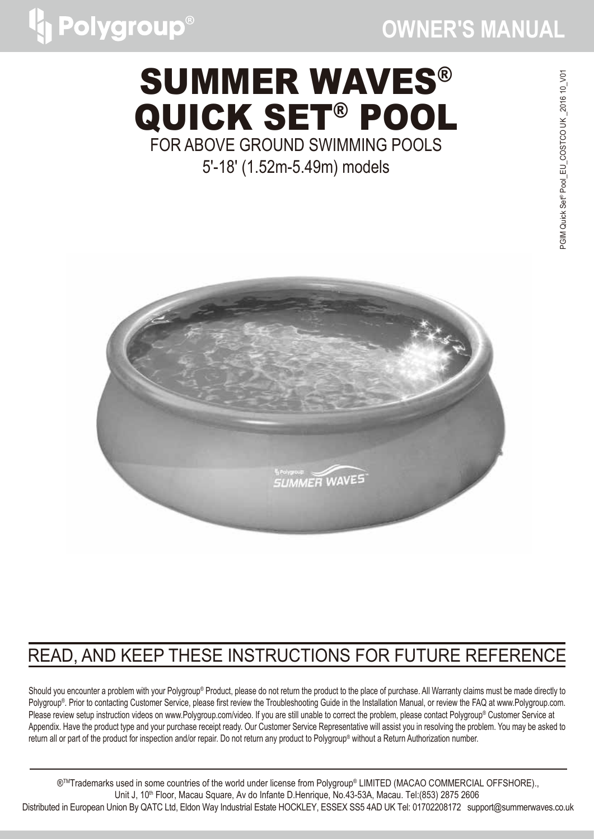# SUMMER WAVES® QUICK SET® POOL FOR ABOVE GROUND SWIMMING POOLS

Polygroup®

5'-18' (1.52m-5.49m) models



### READ, AND KEEP THESE INSTRUCTIONS FOR FUTURE REFERENCE

Should you encounter a problem with your Polygroup® Product, please do not return the product to the place of purchase. All Warranty claims must be made directly to Polygroup<sup>®</sup>. Prior to contacting Customer Service, please first review the Troubleshooting Guide in the Installation Manual, or review the FAQ at www.Polygroup.com. Please review setup instruction videos on www.Polygroup.com/video. If you are still unable to correct the problem, please contact Polygroup® Customer Service at Appendix. Have the product type and your purchase receipt ready. Our Customer Service Representative will assist you in resolving the problem. You may be asked to return all or part of the product for inspection and/or repair. Do not return any product to Polygroup® without a Return Authorization number.

®<sup>™</sup>Trademarks used in some countries of the world under license from Polygroup® LIMITED (MACAO COMMERCIAL OFFSHORE).. Unit J, 10<sup>th</sup> Floor, Macau Square, Av do Infante D.Henrique, No.43-53A, Macau. Tel:(853) 2875 2606 Distributed in European Union By QATC Ltd, Eldon Way Industrial Estate HOCKLEY, ESSEX SS5 4AD UK Tel: 01702208172 support@summerwaves.co.uk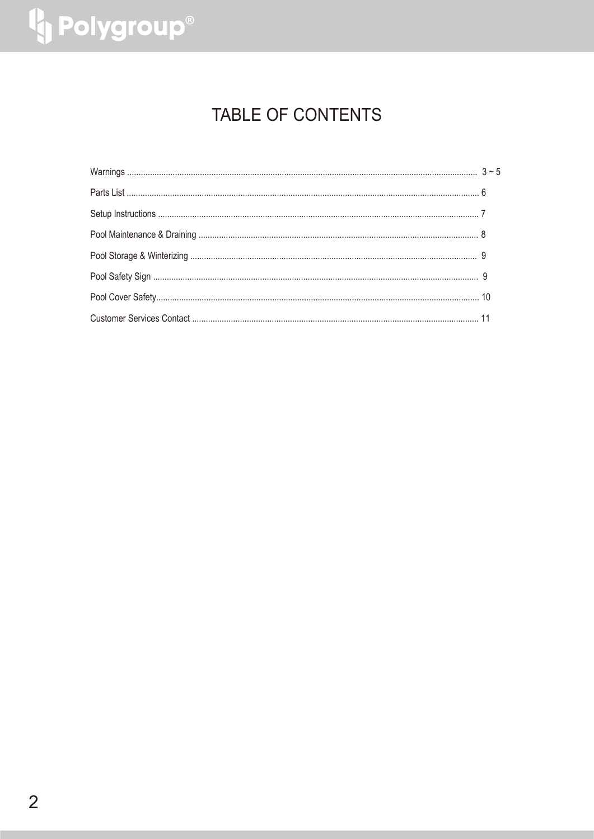# <sup>4</sup> Polygroup®

### TABLE OF CONTENTS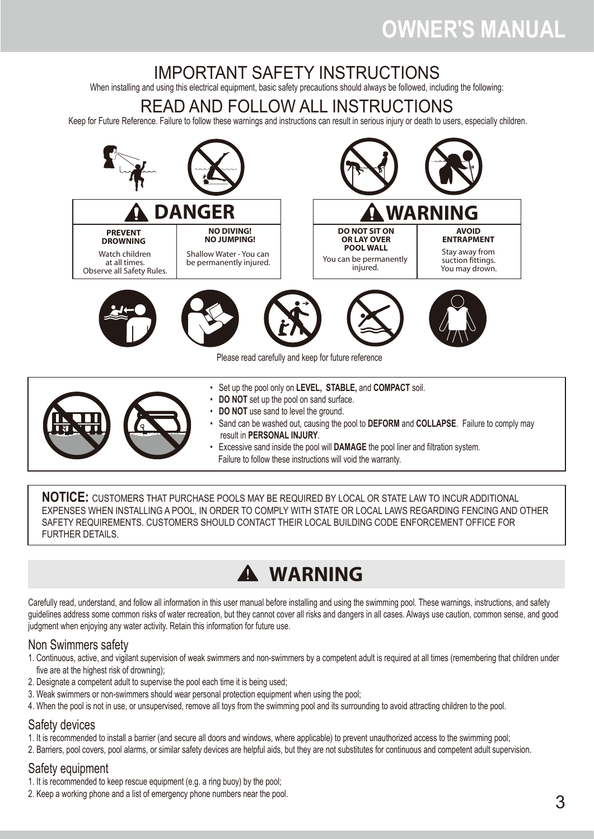### IMPORTANT SAFETY INSTRUCTIONS

When installing and using this electrical equipment, basic safety precautions should always be followed, including the following:

### READ AND FOLLOW ALL INSTRUCTIONS

Keep for Future Reference. Failure to follow these warnings and instructions can result in serious injury or death to users, especially children.



- Set up the pool only on **LEVEL, STABLE,** and **COMPACT** soil.
- **DO NOT** set up the pool on sand surface.
- **DO NOT** use sand to level the ground.
- Sand can be washed out, causing the pool to **DEFORM** and **COLLAPSE**. Failure to comply may result in **PERSONAL INJURY**.
	- Excessive sand inside the pool will **DAMAGE** the pool liner and filtration system. Failure to follow these instructions will void the warranty.

**NOTICE:** CUSTOMERS THAT PURCHASE POOLS MAY BE REQUIRED BY LOCAL OR STATE LAW TO INCUR ADDITIONAL EXPENSES WHEN INSTALLING A POOL, IN ORDER TO COMPLY WITH STATE OR LOCAL LAWS REGARDING FENCING AND OTHER SAFETY REQUIREMENTS. CUSTOMERS SHOULD CONTACT THEIR LOCAL BUILDING CODE ENFORCEMENT OFFICE FOR FURTHER DETAILS.

### **WARNING**

Carefully read, understand, and follow all information in this user manual before installing and using the swimming pool. These warnings, instructions, and safety guidelines address some common risks of water recreation, but they cannot cover all risks and dangers in all cases. Always use caution, common sense, and good judgment when enjoying any water activity. Retain this information for future use.

#### Non Swimmers safety

- 1. Continuous, active, and vigilant supervision of weak swimmers and non-swimmers by a competent adult is required at all times (remembering that children under five are at the highest risk of drowning);
- 2. Designate a competent adult to supervise the pool each time it is being used;
- 3. Weak swimmers or non-swimmers should wear personal protection equipment when using the pool;
- 4. When the pool is not in use, or unsupervised, remove all toys from the swimming pool and its surrounding to avoid attracting children to the pool.

#### Safety devices

- 1. It is recommended to install a barrier (and secure all doors and windows, where applicable) to prevent unauthorized access to the swimming pool;
- 2. Barriers, pool covers, pool alarms, or similar safety devices are helpful aids, but they are not substitutes for continuous and competent adult supervision.

#### Safety equipment

- 1. It is recommended to keep rescue equipment (e.g. a ring buoy) by the pool;
- 2. Keep a working phone and a list of emergency phone numbers near the pool.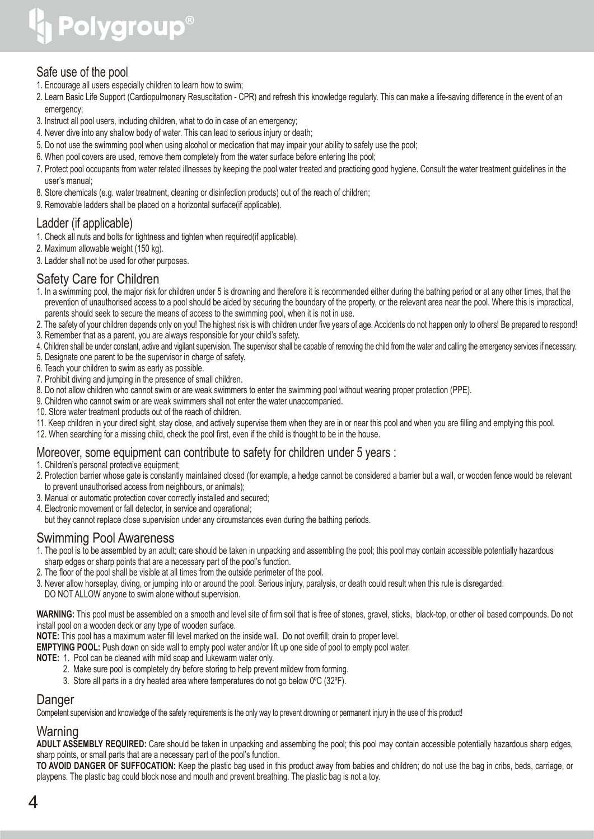# **Polygroup®**

### Safe use of the pool

- 1. Encourage all users especially children to learn how to swim;
- 2. Learn Basic Life Support (Cardiopulmonary Resuscitation CPR) and refresh this knowledge regularly. This can make a life-saving difference in the event of an emergency;
- 3. Instruct all pool users, including children, what to do in case of an emergency;
- 4. Never dive into any shallow body of water. This can lead to serious injury or death;
- 5. Do not use the swimming pool when using alcohol or medication that may impair your ability to safely use the pool;
- 6. When pool covers are used, remove them completely from the water surface before entering the pool;
- 7. Protect pool occupants from water related illnesses by keeping the pool water treated and practicing good hygiene. Consult the water treatment guidelines in the user's manual;
- 8. Store chemicals (e.g. water treatment, cleaning or disinfection products) out of the reach of children;
- 9. Removable ladders shall be placed on a horizontal surface(if applicable).

### Ladder (if applicable)

- 1. Check all nuts and bolts for tightness and tighten when required (if applicable).
- 2. Maximum allowable weight (150 kg).
- 3. Ladder shall not be used for other purposes.

#### Safety Care for Children

- 1. In a swimming pool, the major risk for children under 5 is drowning and therefore it is recommended either during the bathing period or at any other times, that the prevention of unauthorised access to a pool should be aided by securing the boundary of the property, or the relevant area near the pool. Where this is impractical, parents should seek to secure the means of access to the swimming pool, when it is not in use.
- 2. The safety of your children depends only on you! The highest risk is with children under five years of age. Accidents do not happen only to others! Be prepared to respond!
- 3. Remember that as a parent, you are always responsible for your child's safety.
- 4. Children shall be under constant, active and vigilant supervision. The supervisor shall be capable of removing the child from the water and calling the emergency services if necessary.
- 5. Designate one parent to be the supervisor in charge of safety.
- 6. Teach your children to swim as early as possible.
- 7. Prohibit diving and jumping in the presence of small children.
- 8. Do not allow children who cannot swim or are weak swimmers to enter the swimming pool without wearing proper protection (PPE).
- 9. Children who cannot swim or are weak swimmers shall not enter the water unaccompanied.
- 10. Store water treatment products out of the reach of children.
- 11. Keep children in your direct sight, stay close, and actively supervise them when they are in or near this pool and when you are filling and emptying this pool.
- 12. When searching for a missing child, check the pool first, even if the child is thought to be in the house.

#### Moreover, some equipment can contribute to safety for children under 5 years :

- 1. Children's personal protective equipment;
- 2. Protection barrier whose gate is constantly maintained closed (for example, a hedge cannot be considered a barrier but a wall, or wooden fence would be relevant to prevent unauthorised access from neighbours, or animals);
- 3. Manual or automatic protection cover correctly installed and secured;
- 4. Electronic movement or fall detector, in service and operational;
- but they cannot replace close supervision under any circumstances even during the bathing periods.

#### Swimming Pool Awareness

- 1. The pool is to be assembled by an adult; care should be taken in unpacking and assembling the pool; this pool may contain accessible potentially hazardous sharp edges or sharp points that are a necessary part of the pool's function.
- 2. The floor of the pool shall be visible at all times from the outside perimeter of the pool.
- 3. Never allow horseplay, diving, or jumping into or around the pool. Serious injury, paralysis, or death could result when this rule is disregarded. DO NOT ALLOW anyone to swim alone without supervision.

**WARNING:** This pool must be assembled on a smooth and level site of firm soil that is free of stones, gravel, sticks, black-top, or other oil based compounds. Do not install pool on a wooden deck or any type of wooden surface.

**NOTE:** This pool has a maximum water fill level marked on the inside wall. Do not overfill; drain to proper level.

**EMPTYING POOL:** Push down on side wall to empty pool water and/or lift up one side of pool to empty pool water.

**NOTE:** 1. Pool can be cleaned with mild soap and lukewarm water only.

- 2. Make sure pool is completely dry before storing to help prevent mildew from forming.
- 3. Store all parts in a dry heated area where temperatures do not go below 0ºC (32ºF).

#### Danger

Competent supervision and knowledge of the safety requirements is the only way to prevent drowning or permanent injury in the use of this product!

### Warning

**ADULT ASSEMBLY REQUIRED:** Care should be taken in unpacking and assembing the pool; this pool may contain accessible potentially hazardous sharp edges, sharp points, or small parts that are a necessary part of the pool's function.

**TO AVOID DANGER OF SUFFOCATION:** Keep the plastic bag used in this product away from babies and children; do not use the bag in cribs, beds, carriage, or playpens. The plastic bag could block nose and mouth and prevent breathing. The plastic bag is not a toy.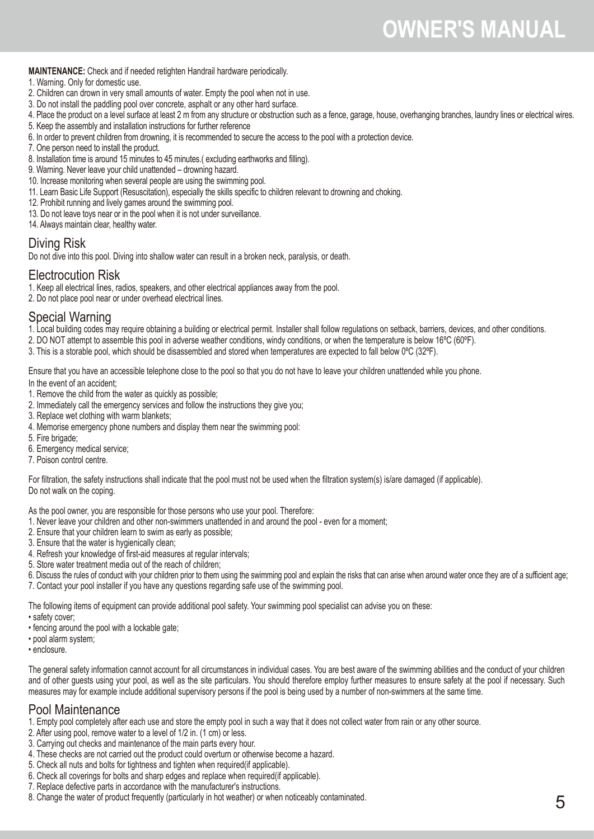**MAINTENANCE:** Check and if needed retighten Handrail hardware periodically.

- 1. Warning. Only for domestic use.
- 2. Children can drown in very small amounts of water. Empty the pool when not in use.
- 3. Do not install the paddling pool over concrete, asphalt or any other hard surface.
- 4. Place the product on a level surface at least 2 m from any structure or obstruction such as a fence, garage, house, overhanging branches, laundry lines or electrical wires.
- 5. Keep the assembly and installation instructions for further reference
- 6. In order to prevent children from drowning, it is recommended to secure the access to the pool with a protection device.
- 7. One person need to install the product.
- 8. Installation time is around 15 minutes to 45 minutes.( excluding earthworks and filling).
- 9. Warning. Never leave your child unattended drowning hazard.
- 10. Increase monitoring when several people are using the swimming pool.
- 11. Learn Basic Life Support (Resuscitation), especially the skills specific to children relevant to drowning and choking.
- 12. Prohibit running and lively games around the swimming pool.
- 13. Do not leave toys near or in the pool when it is not under surveillance.
- 14. Always maintain clear, healthy water.

#### Diving Risk

Do not dive into this pool. Diving into shallow water can result in a broken neck, paralysis, or death.

#### Electrocution Risk

1. Keep all electrical lines, radios, speakers, and other electrical appliances away from the pool.

2. Do not place pool near or under overhead electrical lines.

#### Special Warning

1. Local building codes may require obtaining a building or electrical permit. Installer shall follow regulations on setback, barriers, devices, and other conditions.

- 2. DO NOT attempt to assemble this pool in adverse weather conditions, windy conditions, or when the temperature is below 16ºC (60ºF).
- 3. This is a storable pool, which should be disassembled and stored when temperatures are expected to fall below 0ºC (32ºF).

Ensure that you have an accessible telephone close to the pool so that you do not have to leave your children unattended while you phone.

In the event of an accident;

- 1. Remove the child from the water as quickly as possible;
- 2. Immediately call the emergency services and follow the instructions they give you;
- 3. Replace wet clothing with warm blankets;
- 4. Memorise emergency phone numbers and display them near the swimming pool:
- 5. Fire brigade;
- 6. Emergency medical service;
- 7. Poison control centre.

For filtration, the safety instructions shall indicate that the pool must not be used when the filtration system(s) is/are damaged (if applicable). Do not walk on the coping.

As the pool owner, you are responsible for those persons who use your pool. Therefore:

- 1. Never leave your children and other non-swimmers unattended in and around the pool even for a moment;
- 2. Ensure that your children learn to swim as early as possible;
- 3. Ensure that the water is hygienically clean;
- 4. Refresh your knowledge of first-aid measures at regular intervals;
- 5. Store water treatment media out of the reach of children;

6. Discuss the rules of conduct with your children prior to them using the swimming pool and explain the risks that can arise when around water once they are of a sufficient age;

7. Contact your pool installer if you have any questions regarding safe use of the swimming pool.

The following items of equipment can provide additional pool safety. Your swimming pool specialist can advise you on these:

- safety cover;
- fencing around the pool with a lockable gate;
- pool alarm system;
- enclosure.

The general safety information cannot account for all circumstances in individual cases. You are best aware of the swimming abilities and the conduct of your children and of other guests using your pool, as well as the site particulars. You should therefore employ further measures to ensure safety at the pool if necessary. Such measures may for example include additional supervisory persons if the pool is being used by a number of non-swimmers at the same time.

#### Pool Maintenance

- 1. Empty pool completely after each use and store the empty pool in such a way that it does not collect water from rain or any other source.
- 2. After using pool, remove water to a level of 1/2 in. (1 cm) or less.
- 3. Carrying out checks and maintenance of the main parts every hour.
- 4. These checks are not carried out the product could overturn or otherwise become a hazard.
- 5. Check all nuts and bolts for tightness and tighten when required(if applicable).
- 6. Check all coverings for bolts and sharp edges and replace when required(if applicable).
- 7. Replace defective parts in accordance with the manufacturer's instructions.
- 8. Change the water of product frequently (particularly in hot weather) or when noticeably contaminated.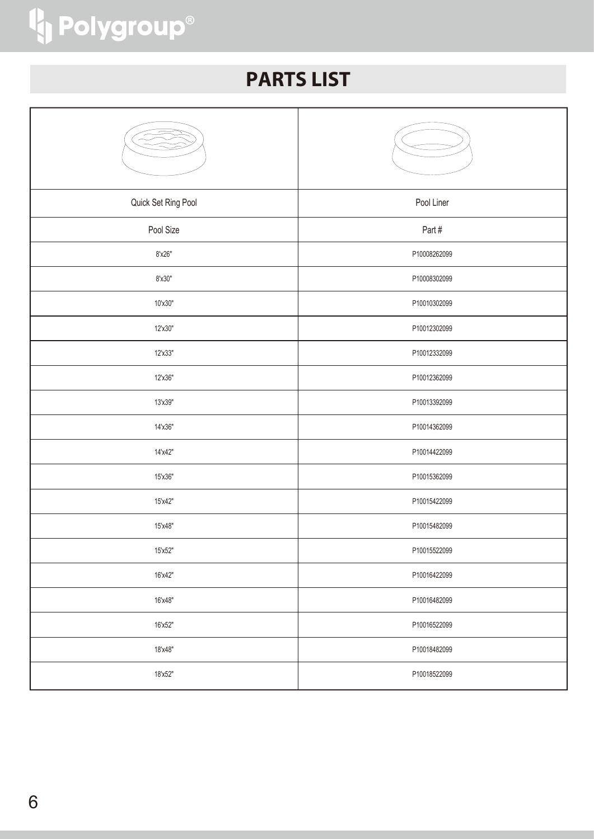# <sup>4</sup> Polygroup®

### **PARTS LIST**

| Quick Set Ring Pool | Pool Liner   |
|---------------------|--------------|
| Pool Size           | Part#        |
| 8'x26"              | P10008262099 |
| 8'x30"              | P10008302099 |
| 10'x30"             | P10010302099 |
| 12'x30"             | P10012302099 |
| 12'x33"             | P10012332099 |
| 12'x36"             | P10012362099 |
| 13'x39"             | P10013392099 |
| 14'x36"             | P10014362099 |
| 14'x42"             | P10014422099 |
| 15'x36"             | P10015362099 |
| 15'x42"             | P10015422099 |
| 15'x48"             | P10015482099 |
| 15'x52"             | P10015522099 |
| 16'x42"             | P10016422099 |
| 16'x48"             | P10016482099 |
| 16'x52"             | P10016522099 |
| 18'x48"             | P10018482099 |
| 18'x52"             | P10018522099 |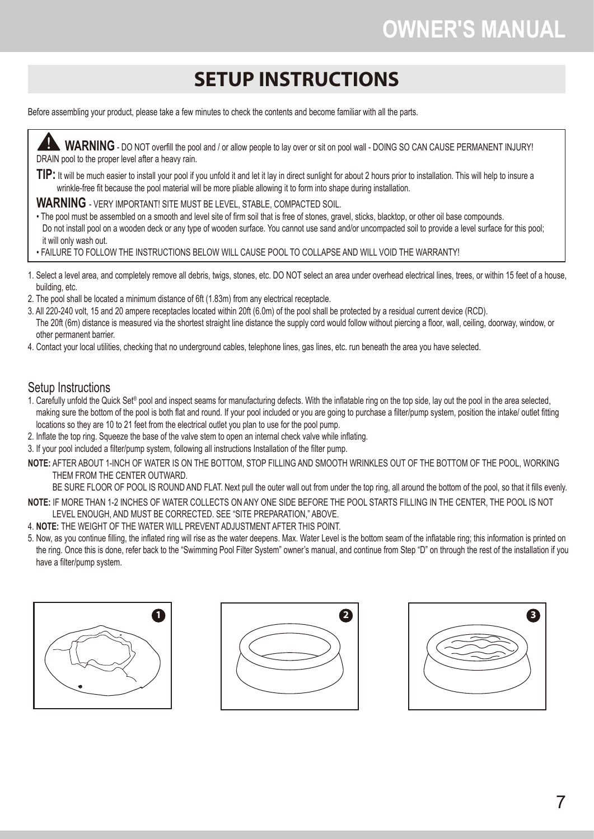### **SETUP INSTRUCTIONS**

Before assembling your product, please take a few minutes to check the contents and become familiar with all the parts.



- 
- The 20ft (6m) distance is measured via the shortest straight line distance the supply cord would follow without piercing a floor, wall, ceiling, doorway, window, or other permanent barrier.
- 4. Contact your local utilities, checking that no underground cables, telephone lines, gas lines, etc. run beneath the area you have selected.

#### Setup Instructions

- 1. Carefully unfold the Quick Set® pool and inspect seams for manufacturing defects. With the inflatable ring on the top side, lay out the pool in the area selected, making sure the bottom of the pool is both flat and round. If your pool included or you are going to purchase a filter/pump system, position the intake/ outlet fitting locations so they are 10 to 21 feet from the electrical outlet you plan to use for the pool pump.
- 2. Inflate the top ring. Squeeze the base of the valve stem to open an internal check valve while inflating.
- 3. If your pool included a filter/pump system, following all instructions Installation of the filter pump.
- **NOTE:** AFTER ABOUT 1-INCH OF WATER IS ON THE BOTTOM, STOP FILLING AND SMOOTH WRINKLES OUT OF THE BOTTOM OF THE POOL, WORKING THEM FROM THE CENTER OUTWARD.
- BE SURE FLOOR OF POOL IS ROUND AND FLAT. Next pull the outer wall out from under the top ring, all around the bottom of the pool, so that it fills evenly. **NOTE:** IF MORE THAN 1-2 INCHES OF WATER COLLECTS ON ANY ONE SIDE BEFORE THE POOL STARTS FILLING IN THE CENTER, THE POOL IS NOT LEVEL ENOUGH, AND MUST BE CORRECTED. SEE "SITE PREPARATION," ABOVE.
- 4. **NOTE:** THE WEIGHT OF THE WATER WILL PREVENT ADJUSTMENT AFTER THIS POINT.
- 5. Now, as you continue filling, the inflated ring will rise as the water deepens. Max. Water Level is the bottom seam of the inflatable ring; this information is printed on the ring. Once this is done, refer back to the "Swimming Pool Filter System" owner's manual, and continue from Step "D" on through the rest of the installation if you have a filter/pump system.





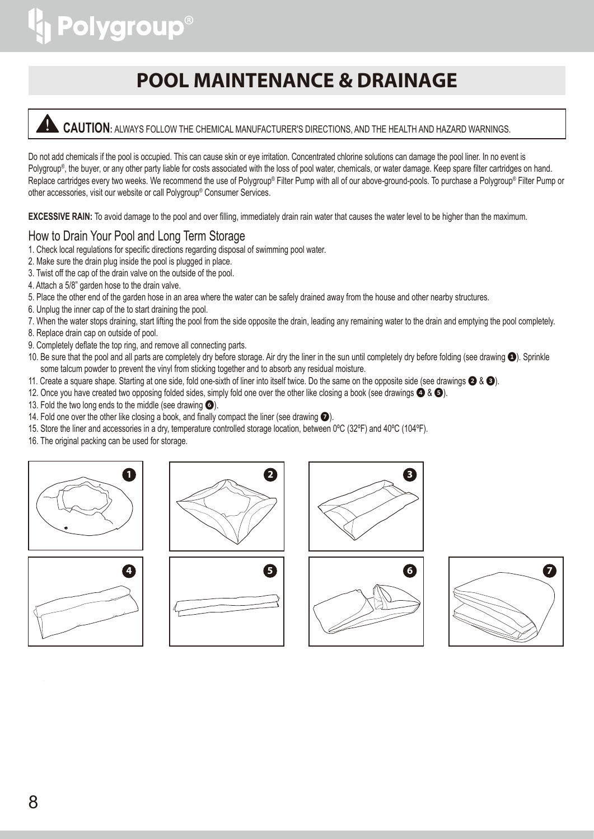# **Polygroup®**

### **POOL MAINTENANCE & DRAINAGE**



Do not add chemicals if the pool is occupied. This can cause skin or eye irritation. Concentrated chlorine solutions can damage the pool liner. In no event is Polygroup<sup>®</sup>, the buyer, or any other party liable for costs associated with the loss of pool water, chemicals, or water damage. Keep spare filter cartridges on hand. Replace cartridges every two weeks. We recommend the use of Polygroup® Filter Pump with all of our above-ground-pools. To purchase a Polygroup® Filter Pump or other accessories, visit our website or call Polygroup® Consumer Services.

**EXCESSIVE RAIN:** To avoid damage to the pool and over filling, immediately drain rain water that causes the water level to be higher than the maximum.

### How to Drain Your Pool and Long Term Storage

- 1. Check local regulations for specific directions regarding disposal of swimming pool water.
- 2. Make sure the drain plug inside the pool is plugged in place.
- 3. Twist off the cap of the drain valve on the outside of the pool.
- 4. Attach a 5/8" garden hose to the drain valve.
- 5. Place the other end of the garden hose in an area where the water can be safely drained away from the house and other nearby structures.
- 6. Unplug the inner cap of the to start draining the pool.
- 7. When the water stops draining, start lifting the pool from the side opposite the drain, leading any remaining water to the drain and emptying the pool completely.
- 8. Replace drain cap on outside of pool.
- 9. Completely deflate the top ring, and remove all connecting parts.
- 10. Be sure that the pool and all parts are completely dry before storage. Air dry the liner in the sun until completely dry before folding (see drawing  $\bullet$ ). Sprinkle some talcum powder to prevent the vinyl from sticking together and to absorb any residual moisture.
- 11. Create a square shape. Starting at one side, fold one-sixth of liner into itself twice. Do the same on the opposite side (see drawings  $\bigcirc$  &  $\bigcirc$ ).
- 12. Once you have created two opposing folded sides, simply fold one over the other like closing a book (see drawings  $\bigcirc$  &  $\bigcirc$ ).
- 13. Fold the two long ends to the middle (see drawing  $\odot$ ).
- 14. Fold one over the other like closing a book, and finally compact the liner (see drawing  $\bullet$ ).
- 15. Store the liner and accessories in a dry, temperature controlled storage location, between 0ºC (32ºF) and 40ºC (104ºF).
- 16. The original packing can be used for storage.













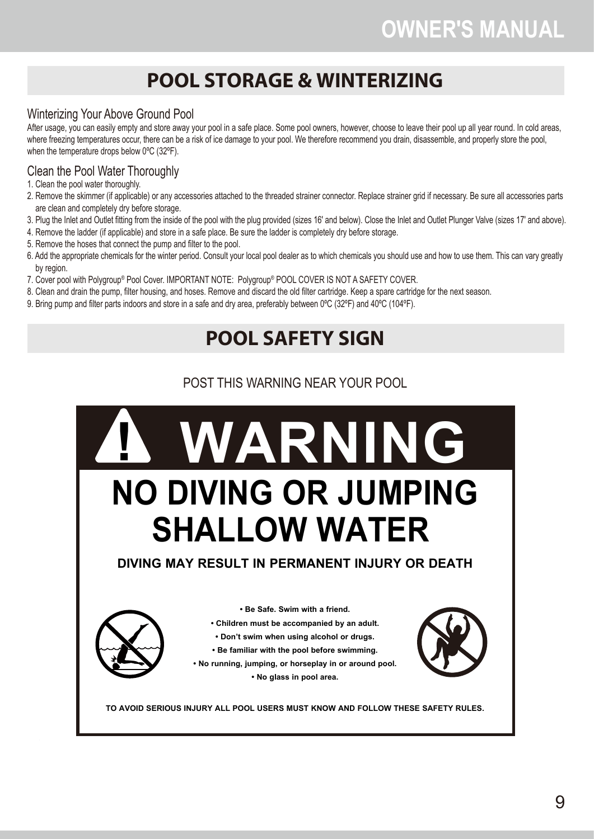### **POOL STORAGE & WINTERIZING**

### Winterizing Your Above Ground Pool

After usage, you can easily empty and store away your pool in a safe place. Some pool owners, however, choose to leave their pool up all year round. In cold areas, where freezing temperatures occur, there can be a risk of ice damage to your pool. We therefore recommend you drain, disassemble, and properly store the pool, when the temperature drops below 0ºC (32ºF).

### Clean the Pool Water Thoroughly

- 1. Clean the pool water thoroughly.
- 2. Remove the skimmer (if applicable) or any accessories attached to the threaded strainer connector. Replace strainer grid if necessary. Be sure all accessories parts are clean and completely dry before storage.
- 3. Plug the Inlet and Outlet fitting from the inside of the pool with the plug provided (sizes 16' and below). Close the Inlet and Outlet Plunger Valve (sizes 17' and above).
- 4. Remove the ladder (if applicable) and store in a safe place. Be sure the ladder is completely dry before storage.
- 5. Remove the hoses that connect the pump and filter to the pool.
- 6. Add the appropriate chemicals for the winter period. Consult your local pool dealer as to which chemicals you should use and how to use them. This can vary greatly by region.
- 7. Cover pool with Polygroup® Pool Cover. IMPORTANT NOTE: Polygroup® POOL COVER IS NOT A SAFETY COVER.
- 8. Clean and drain the pump, filter housing, and hoses. Remove and discard the old filter cartridge. Keep a spare cartridge for the next season.
- 9. Bring pump and filter parts indoors and store in a safe and dry area, preferably between 0ºC (32ºF) and 40ºC (104ºF).

### **POOL SAFETY SIGN**

### POST THIS WARNING NEAR YOUR POOL

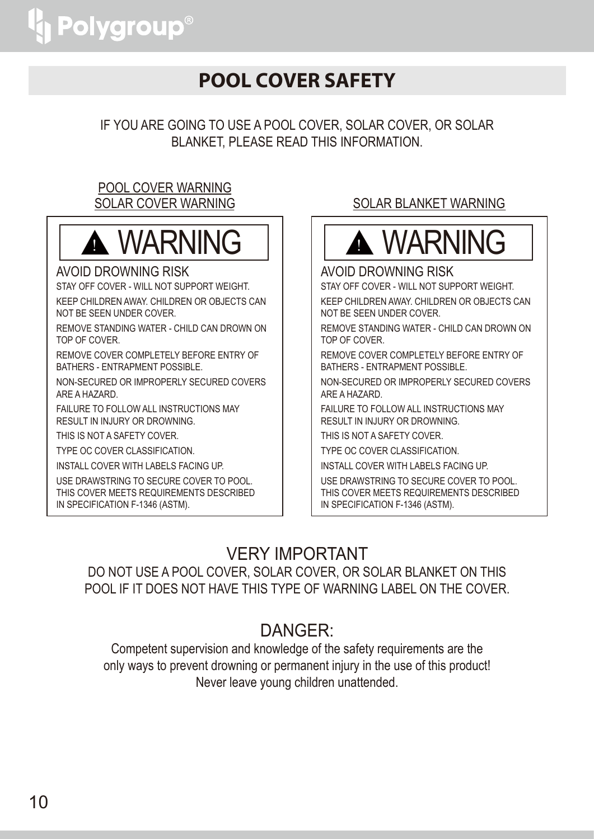### **POOL COVER SAFETY**

IF YOU ARE GOING TO USE A POOL COVER, SOLAR COVER, OR SOLAR BLANKET, PLEASE READ THIS INFORMATION.

### POOL COVER WARNING SOLAR COVER WARNING



### AVOID DROWNING RISK

STAY OFF COVER - WILL NOT SUPPORT WEIGHT. KEEP CHILDREN AWAY. CHILDREN OR OBJECTS CAN NOT BE SEEN UNDER COVER.

REMOVE STANDING WATER - CHILD CAN DROWN ON TOP OF COVER.

REMOVE COVER COMPLETELY BEFORE ENTRY OF BATHERS - ENTRAPMENT POSSIBLE.

NON-SECURED OR IMPROPERLY SECURED COVERS ARE A HAZARD.

FAILURE TO FOLLOW ALL INSTRUCTIONS MAY RESULT IN INJURY OR DROWNING.

THIS IS NOT A SAFETY COVER.

TYPE OC COVER CLASSIFICATION.

INSTALL COVER WITH LABELS FACING UP.

USE DRAWSTRING TO SECURE COVER TO POOL. THIS COVER MEETS REQUIREMENTS DESCRIBED IN SPECIFICATION F-1346 (ASTM).

### SOLAR BLANKET WARNING



### AVOID DROWNING RISK

STAY OFF COVER - WILL NOT SUPPORT WEIGHT. KEEP CHILDREN AWAY. CHILDREN OR OBJECTS CAN NOT BE SEEN UNDER COVER.

REMOVE STANDING WATER - CHILD CAN DROWN ON TOP OF COVER.

REMOVE COVER COMPLETELY BEFORE ENTRY OF BATHERS - ENTRAPMENT POSSIBLE.

NON-SECURED OR IMPROPERLY SECURED COVERS ARE A HAZARD.

FAILURE TO FOLLOW ALL INSTRUCTIONS MAY RESULT IN INJURY OR DROWNING.

THIS IS NOT A SAFETY COVER.

TYPE OC COVER CLASSIFICATION.

INSTALL COVER WITH LABELS FACING UP.

USE DRAWSTRING TO SECURE COVER TO POOL. THIS COVER MEETS REQUIREMENTS DESCRIBED IN SPECIFICATION F-1346 (ASTM).

### VERY IMPORTANT

DO NOT USE A POOL COVER, SOLAR COVER, OR SOLAR BLANKET ON THIS POOL IF IT DOES NOT HAVE THIS TYPE OF WARNING LABEL ON THE COVER.

### DANGER:

Competent supervision and knowledge of the safety requirements are the only ways to prevent drowning or permanent injury in the use of this product! Never leave young children unattended.